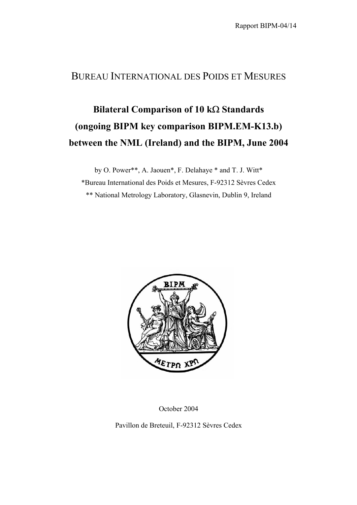## BUREAU INTERNATIONAL DES POIDS ET MESURES

## **Bilateral Comparison of 10 k**Ω **Standards (ongoing BIPM key comparison BIPM.EM-K13.b) between the NML (Ireland) and the BIPM, June 2004**

by O. Power\*\*, A. Jaouen\*, F. Delahaye \* and T. J. Witt\* \*Bureau International des Poids et Mesures, F-92312 Sèvres Cedex \*\* National Metrology Laboratory, Glasnevin, Dublin 9, Ireland



October 2004

Pavillon de Breteuil, F-92312 Sèvres Cedex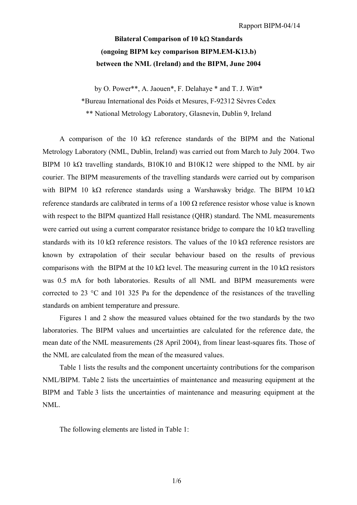## **Bilateral Comparison of 10 k**Ω **Standards (ongoing BIPM key comparison BIPM.EM-K13.b) between the NML (Ireland) and the BIPM, June 2004**

by O. Power\*\*, A. Jaouen\*, F. Delahaye \* and T. J. Witt\* \*Bureau International des Poids et Mesures, F-92312 Sèvres Cedex \*\* National Metrology Laboratory, Glasnevin, Dublin 9, Ireland

A comparison of the 10 k $\Omega$  reference standards of the BIPM and the National Metrology Laboratory (NML, Dublin, Ireland) was carried out from March to July 2004. Two BIPM 10 kΩ travelling standards, B10K10 and B10K12 were shipped to the NML by air courier. The BIPM measurements of the travelling standards were carried out by comparison with BIPM 10 kΩ reference standards using a Warshawsky bridge. The BIPM 10 kΩ reference standards are calibrated in terms of a 100  $\Omega$  reference resistor whose value is known with respect to the BIPM quantized Hall resistance (QHR) standard. The NML measurements were carried out using a current comparator resistance bridge to compare the 10 kΩ travelling standards with its 10 kΩ reference resistors. The values of the 10 kΩ reference resistors are known by extrapolation of their secular behaviour based on the results of previous comparisons with the BIPM at the 10 kΩ level. The measuring current in the 10 kΩ resistors was 0.5 mA for both laboratories. Results of all NML and BIPM measurements were corrected to 23 °C and 101 325 Pa for the dependence of the resistances of the travelling standards on ambient temperature and pressure.

Figures 1 and 2 show the measured values obtained for the two standards by the two laboratories. The BIPM values and uncertainties are calculated for the reference date, the mean date of the NML measurements (28 April 2004), from linear least-squares fits. Those of the NML are calculated from the mean of the measured values.

Table 1 lists the results and the component uncertainty contributions for the comparison NML/BIPM. Table 2 lists the uncertainties of maintenance and measuring equipment at the BIPM and Table 3 lists the uncertainties of maintenance and measuring equipment at the NML.

The following elements are listed in Table 1: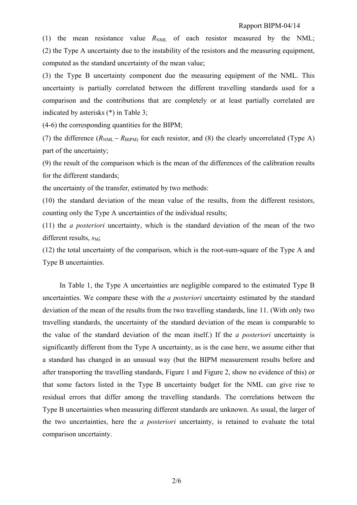(1) the mean resistance value  $R_{NML}$  of each resistor measured by the NML; (2) the Type A uncertainty due to the instability of the resistors and the measuring equipment, computed as the standard uncertainty of the mean value;

(3) the Type B uncertainty component due the measuring equipment of the NML. This uncertainty is partially correlated between the different travelling standards used for a comparison and the contributions that are completely or at least partially correlated are indicated by asterisks (\*) in Table 3;

(4-6) the corresponding quantities for the BIPM;

(7) the difference  $(R_{NML} - R_{BIPM})$  for each resistor, and (8) the clearly uncorrelated (Type A) part of the uncertainty;

(9) the result of the comparison which is the mean of the differences of the calibration results for the different standards;

the uncertainty of the transfer, estimated by two methods:

(10) the standard deviation of the mean value of the results, from the different resistors, counting only the Type A uncertainties of the individual results;

(11) the *a posteriori* uncertainty, which is the standard deviation of the mean of the two different results,  $s_M$ ;

(12) the total uncertainty of the comparison, which is the root-sum-square of the Type A and Type B uncertainties.

In Table 1, the Type A uncertainties are negligible compared to the estimated Type B uncertainties. We compare these with the *a posteriori* uncertainty estimated by the standard deviation of the mean of the results from the two travelling standards, line 11. (With only two travelling standards, the uncertainty of the standard deviation of the mean is comparable to the value of the standard deviation of the mean itself.) If the *a posteriori* uncertainty is significantly different from the Type A uncertainty, as is the case here, we assume either that a standard has changed in an unusual way (but the BIPM measurement results before and after transporting the travelling standards, Figure 1 and Figure 2, show no evidence of this) or that some factors listed in the Type B uncertainty budget for the NML can give rise to residual errors that differ among the travelling standards. The correlations between the Type B uncertainties when measuring different standards are unknown. As usual, the larger of the two uncertainties, here the *a posteriori* uncertainty, is retained to evaluate the total comparison uncertainty.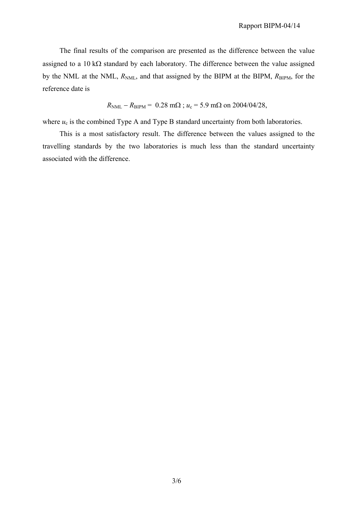The final results of the comparison are presented as the difference between the value assigned to a 10 k $\Omega$  standard by each laboratory. The difference between the value assigned by the NML at the NML,  $R_{NML}$ , and that assigned by the BIPM at the BIPM,  $R_{\text{BIPM}}$ , for the reference date is

$$
R_{\text{NML}} - R_{\text{BIPM}} = 0.28 \text{ m}\Omega
$$
;  $u_c = 5.9 \text{ m}\Omega$  on 2004/04/28,

where  $u_c$  is the combined Type A and Type B standard uncertainty from both laboratories.

This is a most satisfactory result. The difference between the values assigned to the travelling standards by the two laboratories is much less than the standard uncertainty associated with the difference.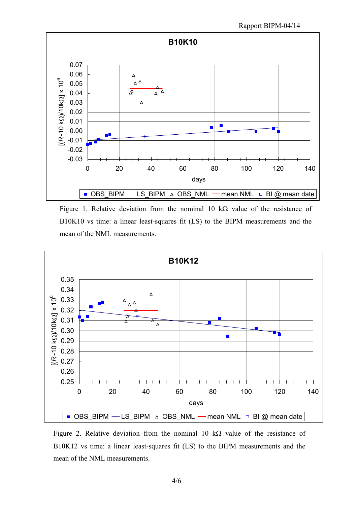

Figure 1. Relative deviation from the nominal 10 k $\Omega$  value of the resistance of B10K10 vs time: a linear least-squares fit (LS) to the BIPM measurements and the mean of the NML measurements.



Figure 2. Relative deviation from the nominal 10 k $\Omega$  value of the resistance of B10K12 vs time: a linear least-squares fit (LS) to the BIPM measurements and the mean of the NML measurements.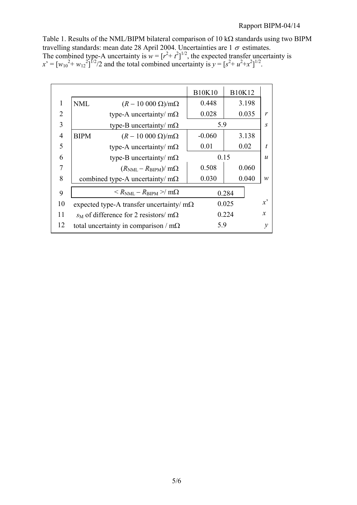Table 1. Results of the NML/BIPM bilateral comparison of 10 kΩ standards using two BIPM travelling standards: mean date 28 April 2004. Uncertainties are  $1\sigma$  estimates. The combined type-A uncertainty is  $w = [r^2 + t^2]^{1/2}$ , the expected transfer uncertainty is  $x' = [w_{10}^2 + w_{12}^2]^{1/2}/2$  and the total combined uncertainty is  $y = [s^2 + u^2 + x^2]^{1/2}$ .

|                |             |                                                        | <b>B10K10</b> | <b>B10K12</b>            |              |
|----------------|-------------|--------------------------------------------------------|---------------|--------------------------|--------------|
| 1              | <b>NML</b>  | $(R-10\,000\,\Omega)/m\Omega$                          | 0.448         | 3.198                    |              |
| $\overline{2}$ |             | type-A uncertainty/ $m\Omega$                          | 0.028         | 0.035                    | $\mathbf{r}$ |
| 3              |             | type-B uncertainty/ $m\Omega$                          | 5.9           |                          | S            |
| $\overline{4}$ | <b>BIPM</b> | $(R-10\ 000\ \Omega)/m\Omega$                          | $-0.060$      | 3.138                    |              |
| 5              |             | type-A uncertainty/ $m\Omega$                          | 0.01          | 0.02                     | t.           |
| 6              |             | type-B uncertainty/ $m\Omega$                          |               | 0.15<br>$\boldsymbol{u}$ |              |
| 7              |             | $(R_{\text{NML}} - R_{\text{BIPM}})/m\Omega$           | 0.508         | 0.060                    |              |
| 8              |             | combined type-A uncertainty/ $m\Omega$                 | 0.030         | 0.040                    | $\mathcal W$ |
| 9              |             | $\langle R_{\rm NML} - R_{\rm BIPM} \rangle / m\Omega$ |               | 0.284                    |              |
| 10             |             | expected type-A transfer uncertainty/ $m\Omega$        |               | 0.025                    | $x^{\prime}$ |
| 11             |             | $s_M$ of difference for 2 resistors/ m $\Omega$        |               | 0.224                    | $\mathbf{x}$ |
| 12             |             | total uncertainty in comparison / $m\Omega$            | 5.9           |                          | $\mathcal V$ |